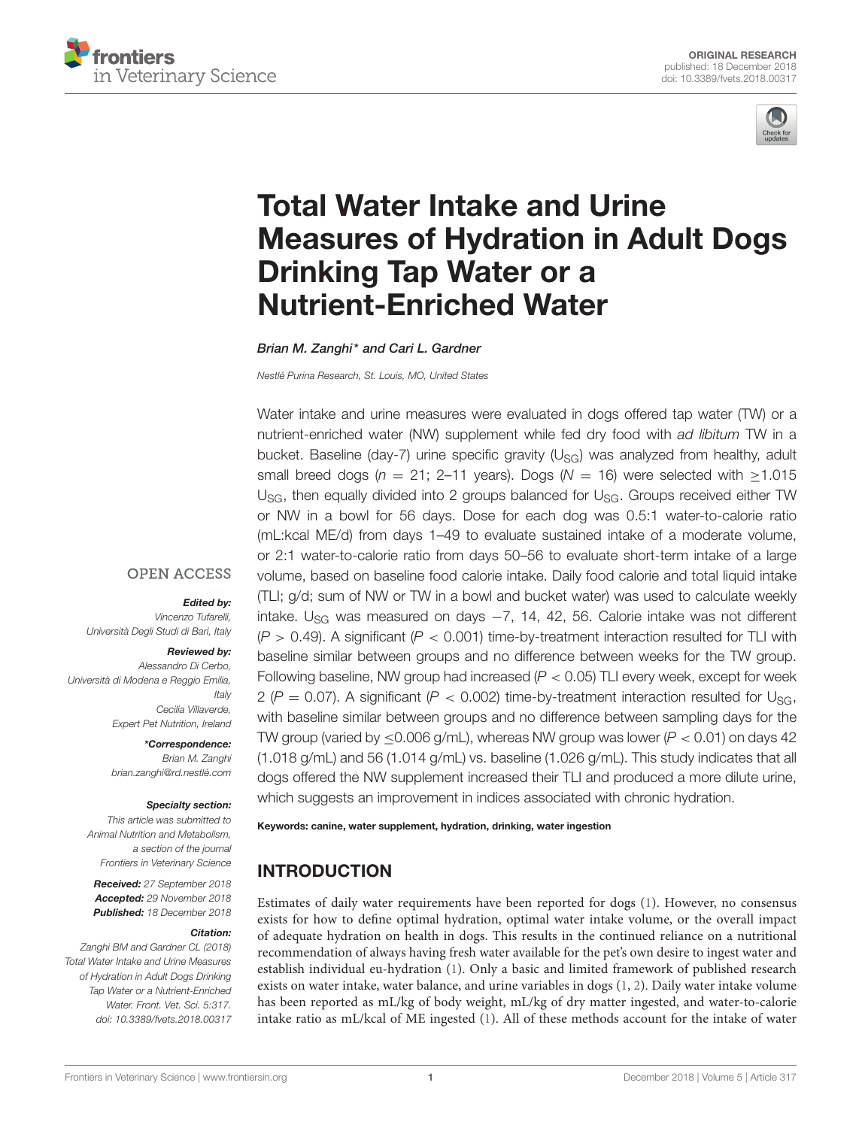



# Total Water Intake and Urine [Measures of Hydration in Adult Dogs](https://www.frontiersin.org/articles/10.3389/fvets.2018.00317/full) Drinking Tap Water or a Nutrient-Enriched Water

[Brian M. Zanghi\\*](http://loop.frontiersin.org/people/254976/overview) and [Cari L. Gardner](http://loop.frontiersin.org/people/654349/overview)

Nestlé Purina Research, St. Louis, MO, United States

Water intake and urine measures were evaluated in dogs offered tap water (TW) or a nutrient-enriched water (NW) supplement while fed dry food with ad libitum TW in a bucket. Baseline (day-7) urine specific gravity  $(U_{SG})$  was analyzed from healthy, adult small breed dogs ( $n = 21$ ; 2–11 years). Dogs ( $N = 16$ ) were selected with  $\ge 1.015$  $U_{SG}$ , then equally divided into 2 groups balanced for  $U_{SG}$ . Groups received either TW or NW in a bowl for 56 days. Dose for each dog was 0.5:1 water-to-calorie ratio (mL:kcal ME/d) from days 1–49 to evaluate sustained intake of a moderate volume, or 2:1 water-to-calorie ratio from days 50–56 to evaluate short-term intake of a large volume, based on baseline food calorie intake. Daily food calorie and total liquid intake (TLI; g/d; sum of NW or TW in a bowl and bucket water) was used to calculate weekly intake. U<sub>SG</sub> was measured on days  $-7$ , 14, 42, 56. Calorie intake was not different  $(P > 0.49)$ . A significant  $(P < 0.001)$  time-by-treatment interaction resulted for TLI with baseline similar between groups and no difference between weeks for the TW group. Following baseline, NW group had increased  $(P < 0.05)$  TLI every week, except for week 2 ( $P = 0.07$ ). A significant ( $P < 0.002$ ) time-by-treatment interaction resulted for U<sub>SG</sub>, with baseline similar between groups and no difference between sampling days for the TW group (varied by  $\leq$ 0.006 g/mL), whereas NW group was lower (P  $<$  0.01) on days 42 (1.018 g/mL) and 56 (1.014 g/mL) vs. baseline (1.026 g/mL). This study indicates that all dogs offered the NW supplement increased their TLI and produced a more dilute urine, which suggests an improvement in indices associated with chronic hydration.

#### Keywords: canine, water supplement, hydration, drinking, water ingestion

# INTRODUCTION

Estimates of daily water requirements have been reported for dogs [\(1\)](#page-11-0). However, no consensus exists for how to define optimal hydration, optimal water intake volume, or the overall impact of adequate hydration on health in dogs. This results in the continued reliance on a nutritional recommendation of always having fresh water available for the pet's own desire to ingest water and establish individual eu-hydration [\(1\)](#page-11-0). Only a basic and limited framework of published research exists on water intake, water balance, and urine variables in dogs [\(1,](#page-11-0) [2\)](#page-11-1). Daily water intake volume has been reported as mL/kg of body weight, mL/kg of dry matter ingested, and water-to-calorie intake ratio as mL/kcal of ME ingested [\(1\)](#page-11-0). All of these methods account for the intake of water

#### **OPEN ACCESS**

#### Edited by:

Vincenzo Tufarelli, Università Degli Studi di Bari, Italy

#### Reviewed by:

Alessandro Di Cerbo, Università di Modena e Reggio Emilia, **Italy** Cecilia Villaverde, Expert Pet Nutrition, Ireland

> \*Correspondence: Brian M. Zanghi [brian.zanghi@rd.nestlé.com](mailto:brian.zanghi@rd.nestl�.com)

#### Specialty section:

This article was submitted to Animal Nutrition and Metabolism, a section of the journal Frontiers in Veterinary Science

Received: 27 September 2018 Accepted: 29 November 2018 Published: 18 December 2018

#### Citation:

Zanghi BM and Gardner CL (2018) Total Water Intake and Urine Measures of Hydration in Adult Dogs Drinking Tap Water or a Nutrient-Enriched Water. Front. Vet. Sci. 5:317. doi: [10.3389/fvets.2018.00317](https://doi.org/10.3389/fvets.2018.00317)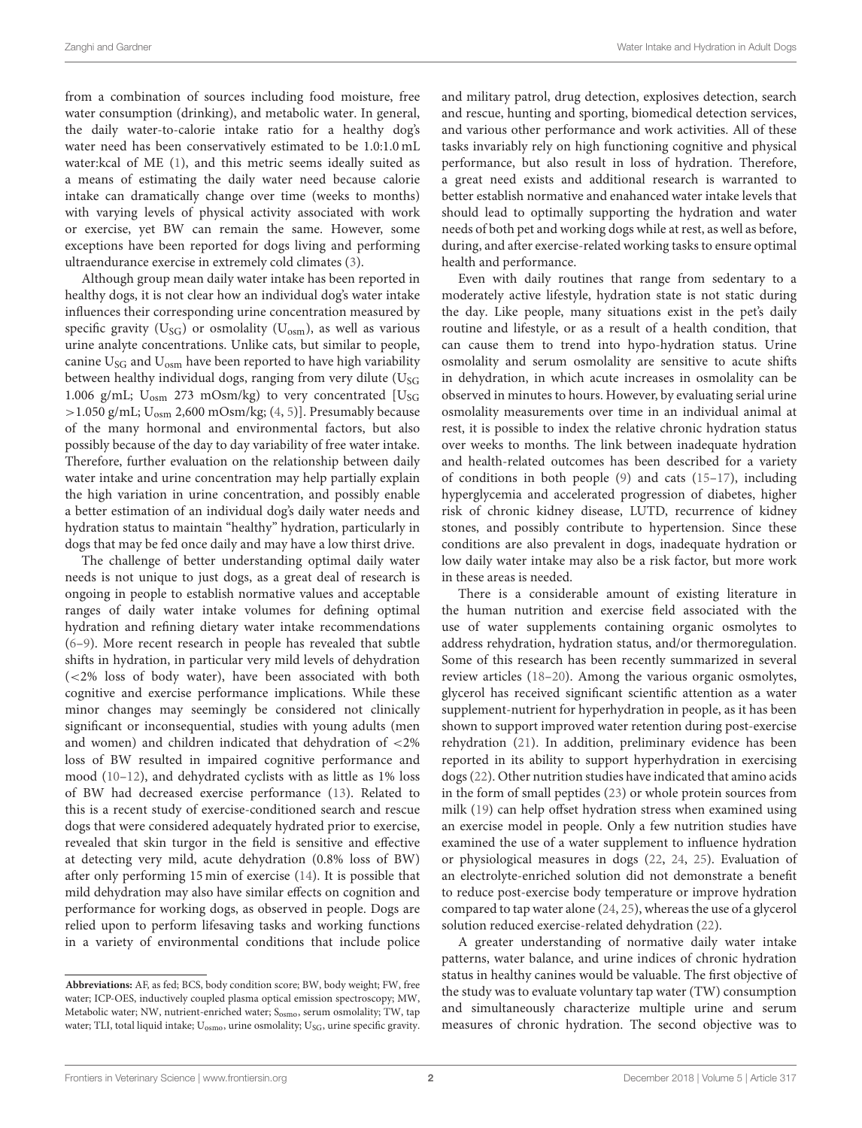from a combination of sources including food moisture, free water consumption (drinking), and metabolic water. In general, the daily water-to-calorie intake ratio for a healthy dog's water need has been conservatively estimated to be 1.0:1.0 mL water:kcal of ME [\(1\)](#page-11-0), and this metric seems ideally suited as a means of estimating the daily water need because calorie intake can dramatically change over time (weeks to months) with varying levels of physical activity associated with work or exercise, yet BW can remain the same. However, some exceptions have been reported for dogs living and performing ultraendurance exercise in extremely cold climates [\(3\)](#page-11-2).

Although group mean daily water intake has been reported in healthy dogs, it is not clear how an individual dog's water intake influences their corresponding urine concentration measured by specific gravity ( $U_{SG}$ ) or osmolality ( $U_{osm}$ ), as well as various urine analyte concentrations. Unlike cats, but similar to people, canine  $U_{SG}$  and  $U_{osm}$  have been reported to have high variability between healthy individual dogs, ranging from very dilute  $(U<sub>SG</sub>)$ 1.006 g/mL;  $U_{\text{osm}}$  273 mOsm/kg) to very concentrated [U<sub>SG</sub>  $>$  1.050 g/mL;  $\rm{U_{osm}}$  2,600 mOsm/kg; [\(4,](#page-11-3) [5\)](#page-11-4)]. Presumably because of the many hormonal and environmental factors, but also possibly because of the day to day variability of free water intake. Therefore, further evaluation on the relationship between daily water intake and urine concentration may help partially explain the high variation in urine concentration, and possibly enable a better estimation of an individual dog's daily water needs and hydration status to maintain "healthy" hydration, particularly in dogs that may be fed once daily and may have a low thirst drive.

The challenge of better understanding optimal daily water needs is not unique to just dogs, as a great deal of research is ongoing in people to establish normative values and acceptable ranges of daily water intake volumes for defining optimal hydration and refining dietary water intake recommendations [\(6–](#page-11-5)[9\)](#page-11-6). More recent research in people has revealed that subtle shifts in hydration, in particular very mild levels of dehydration (<2% loss of body water), have been associated with both cognitive and exercise performance implications. While these minor changes may seemingly be considered not clinically significant or inconsequential, studies with young adults (men and women) and children indicated that dehydration of <2% loss of BW resulted in impaired cognitive performance and mood [\(10–](#page-11-7)[12\)](#page-11-8), and dehydrated cyclists with as little as 1% loss of BW had decreased exercise performance [\(13\)](#page-11-9). Related to this is a recent study of exercise-conditioned search and rescue dogs that were considered adequately hydrated prior to exercise, revealed that skin turgor in the field is sensitive and effective at detecting very mild, acute dehydration (0.8% loss of BW) after only performing 15 min of exercise [\(14\)](#page-11-10). It is possible that mild dehydration may also have similar effects on cognition and performance for working dogs, as observed in people. Dogs are relied upon to perform lifesaving tasks and working functions in a variety of environmental conditions that include police and military patrol, drug detection, explosives detection, search and rescue, hunting and sporting, biomedical detection services, and various other performance and work activities. All of these tasks invariably rely on high functioning cognitive and physical performance, but also result in loss of hydration. Therefore, a great need exists and additional research is warranted to better establish normative and enahanced water intake levels that should lead to optimally supporting the hydration and water needs of both pet and working dogs while at rest, as well as before, during, and after exercise-related working tasks to ensure optimal health and performance.

Even with daily routines that range from sedentary to a moderately active lifestyle, hydration state is not static during the day. Like people, many situations exist in the pet's daily routine and lifestyle, or as a result of a health condition, that can cause them to trend into hypo-hydration status. Urine osmolality and serum osmolality are sensitive to acute shifts in dehydration, in which acute increases in osmolality can be observed in minutes to hours. However, by evaluating serial urine osmolality measurements over time in an individual animal at rest, it is possible to index the relative chronic hydration status over weeks to months. The link between inadequate hydration and health-related outcomes has been described for a variety of conditions in both people [\(9\)](#page-11-6) and cats [\(15](#page-11-11)[–17\)](#page-11-12), including hyperglycemia and accelerated progression of diabetes, higher risk of chronic kidney disease, LUTD, recurrence of kidney stones, and possibly contribute to hypertension. Since these conditions are also prevalent in dogs, inadequate hydration or low daily water intake may also be a risk factor, but more work in these areas is needed.

There is a considerable amount of existing literature in the human nutrition and exercise field associated with the use of water supplements containing organic osmolytes to address rehydration, hydration status, and/or thermoregulation. Some of this research has been recently summarized in several review articles [\(18](#page-11-13)[–20\)](#page-11-14). Among the various organic osmolytes, glycerol has received significant scientific attention as a water supplement-nutrient for hyperhydration in people, as it has been shown to support improved water retention during post-exercise rehydration [\(21\)](#page-11-15). In addition, preliminary evidence has been reported in its ability to support hyperhydration in exercising dogs [\(22\)](#page-11-16). Other nutrition studies have indicated that amino acids in the form of small peptides [\(23\)](#page-11-17) or whole protein sources from milk [\(19\)](#page-11-18) can help offset hydration stress when examined using an exercise model in people. Only a few nutrition studies have examined the use of a water supplement to influence hydration or physiological measures in dogs [\(22,](#page-11-16) [24,](#page-11-19) [25\)](#page-11-20). Evaluation of an electrolyte-enriched solution did not demonstrate a benefit to reduce post-exercise body temperature or improve hydration compared to tap water alone [\(24,](#page-11-19) [25\)](#page-11-20), whereas the use of a glycerol solution reduced exercise-related dehydration [\(22\)](#page-11-16).

A greater understanding of normative daily water intake patterns, water balance, and urine indices of chronic hydration status in healthy canines would be valuable. The first objective of the study was to evaluate voluntary tap water (TW) consumption and simultaneously characterize multiple urine and serum measures of chronic hydration. The second objective was to

**Abbreviations:** AF, as fed; BCS, body condition score; BW, body weight; FW, free water; ICP-OES, inductively coupled plasma optical emission spectroscopy; MW, Metabolic water; NW, nutrient-enriched water; S<sub>osmo</sub>, serum osmolality; TW, tap water; TLI, total liquid intake;  $U_{\text{osmo}}$ , urine osmolality;  $U_{SG}$ , urine specific gravity.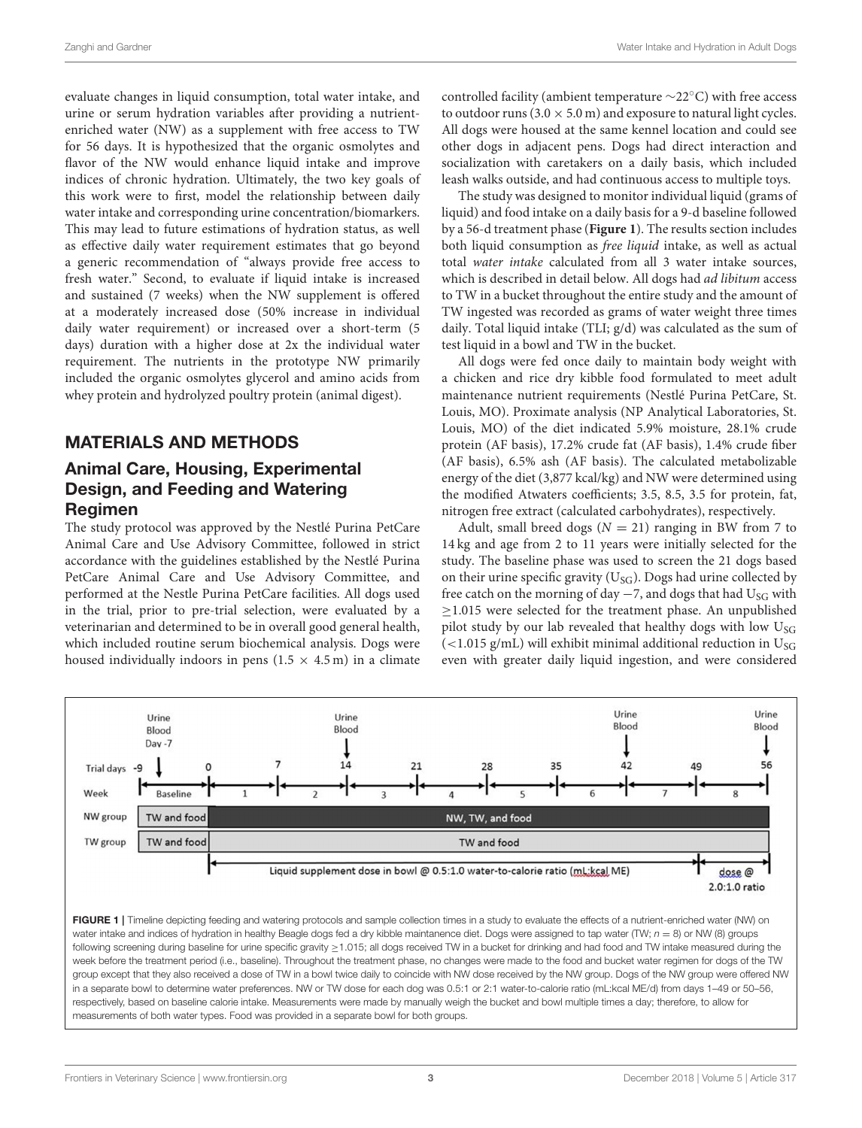evaluate changes in liquid consumption, total water intake, and urine or serum hydration variables after providing a nutrientenriched water (NW) as a supplement with free access to TW for 56 days. It is hypothesized that the organic osmolytes and flavor of the NW would enhance liquid intake and improve indices of chronic hydration. Ultimately, the two key goals of this work were to first, model the relationship between daily water intake and corresponding urine concentration/biomarkers. This may lead to future estimations of hydration status, as well as effective daily water requirement estimates that go beyond a generic recommendation of "always provide free access to fresh water." Second, to evaluate if liquid intake is increased and sustained (7 weeks) when the NW supplement is offered at a moderately increased dose (50% increase in individual daily water requirement) or increased over a short-term (5 days) duration with a higher dose at 2x the individual water requirement. The nutrients in the prototype NW primarily included the organic osmolytes glycerol and amino acids from whey protein and hydrolyzed poultry protein (animal digest).

# MATERIALS AND METHODS

# Animal Care, Housing, Experimental Design, and Feeding and Watering Regimen

The study protocol was approved by the Nestlé Purina PetCare Animal Care and Use Advisory Committee, followed in strict accordance with the guidelines established by the Nestlé Purina PetCare Animal Care and Use Advisory Committee, and performed at the Nestle Purina PetCare facilities. All dogs used in the trial, prior to pre-trial selection, were evaluated by a veterinarian and determined to be in overall good general health, which included routine serum biochemical analysis. Dogs were housed individually indoors in pens  $(1.5 \times 4.5 \,\mathrm{m})$  in a climate controlled facility (ambient temperature ∼22◦C) with free access to outdoor runs (3.0  $\times$  5.0 m) and exposure to natural light cycles. All dogs were housed at the same kennel location and could see other dogs in adjacent pens. Dogs had direct interaction and socialization with caretakers on a daily basis, which included leash walks outside, and had continuous access to multiple toys.

The study was designed to monitor individual liquid (grams of liquid) and food intake on a daily basis for a 9-d baseline followed by a 56-d treatment phase (**[Figure 1](#page-2-0)**). The results section includes both liquid consumption as free liquid intake, as well as actual total water intake calculated from all 3 water intake sources, which is described in detail below. All dogs had *ad libitum* access to TW in a bucket throughout the entire study and the amount of TW ingested was recorded as grams of water weight three times daily. Total liquid intake (TLI; g/d) was calculated as the sum of test liquid in a bowl and TW in the bucket.

All dogs were fed once daily to maintain body weight with a chicken and rice dry kibble food formulated to meet adult maintenance nutrient requirements (Nestlé Purina PetCare, St. Louis, MO). Proximate analysis (NP Analytical Laboratories, St. Louis, MO) of the diet indicated 5.9% moisture, 28.1% crude protein (AF basis), 17.2% crude fat (AF basis), 1.4% crude fiber (AF basis), 6.5% ash (AF basis). The calculated metabolizable energy of the diet (3,877 kcal/kg) and NW were determined using the modified Atwaters coefficients; 3.5, 8.5, 3.5 for protein, fat, nitrogen free extract (calculated carbohydrates), respectively.

Adult, small breed dogs ( $N = 21$ ) ranging in BW from 7 to 14 kg and age from 2 to 11 years were initially selected for the study. The baseline phase was used to screen the 21 dogs based on their urine specific gravity ( $U_{SG}$ ). Dogs had urine collected by free catch on the morning of day  $-7$ , and dogs that had U<sub>SG</sub> with ≥1.015 were selected for the treatment phase. An unpublished pilot study by our lab revealed that healthy dogs with low  $U_{SG}$  $\epsilon$  (<1.015 g/mL) will exhibit minimal additional reduction in U<sub>SG</sub> even with greater daily liquid ingestion, and were considered



<span id="page-2-0"></span>measurements of both water types. Food was provided in a separate bowl for both groups.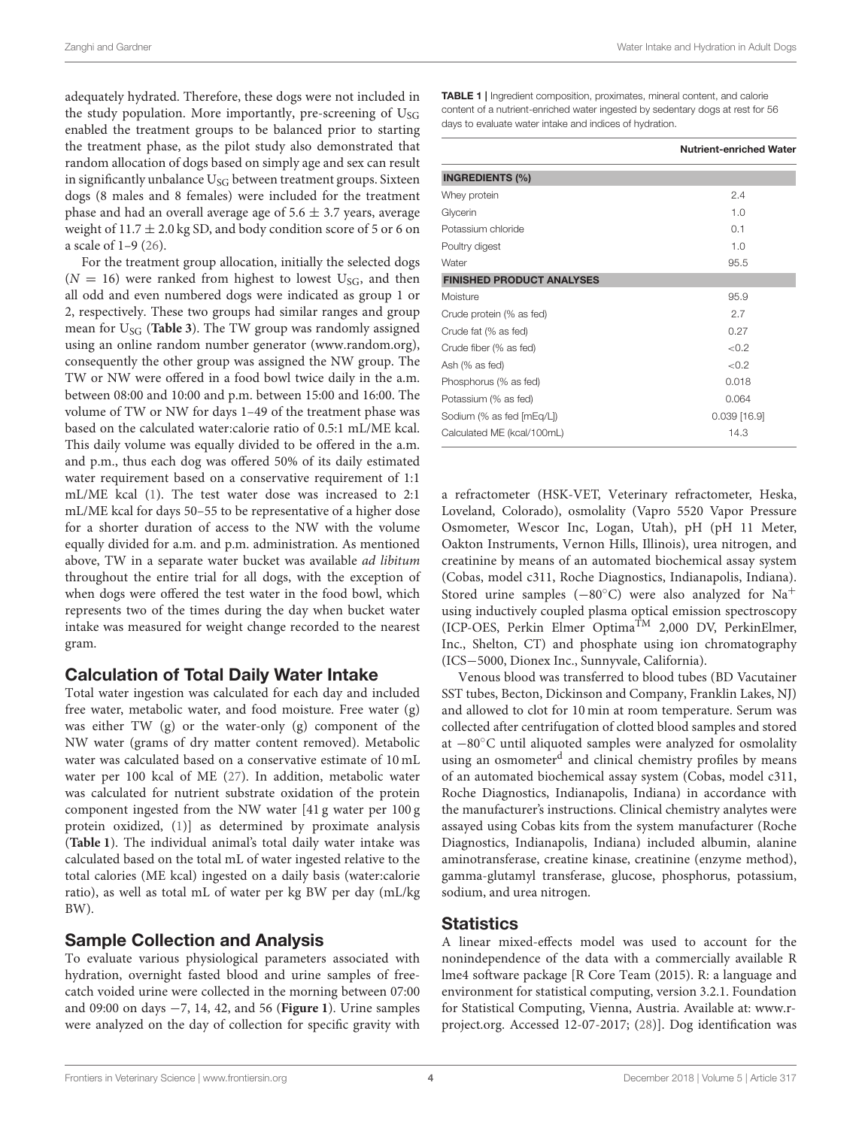adequately hydrated. Therefore, these dogs were not included in the study population. More importantly, pre-screening of  $U_{SG}$ enabled the treatment groups to be balanced prior to starting the treatment phase, as the pilot study also demonstrated that random allocation of dogs based on simply age and sex can result in significantly unbalance  $U_{SG}$  between treatment groups. Sixteen dogs (8 males and 8 females) were included for the treatment phase and had an overall average age of  $5.6 \pm 3.7$  years, average weight of  $11.7 \pm 2.0$  kg SD, and body condition score of 5 or 6 on a scale of 1–9 [\(26\)](#page-11-21).

For the treatment group allocation, initially the selected dogs  $(N = 16)$  were ranked from highest to lowest U<sub>SG</sub>, and then all odd and even numbered dogs were indicated as group 1 or 2, respectively. These two groups had similar ranges and group mean for U<sub>SG</sub> ([Table 3](#page-7-0)). The TW group was randomly assigned using an online random number generator [\(www.random.org\)](www.random.org), consequently the other group was assigned the NW group. The TW or NW were offered in a food bowl twice daily in the a.m. between 08:00 and 10:00 and p.m. between 15:00 and 16:00. The volume of TW or NW for days 1–49 of the treatment phase was based on the calculated water:calorie ratio of 0.5:1 mL/ME kcal. This daily volume was equally divided to be offered in the a.m. and p.m., thus each dog was offered 50% of its daily estimated water requirement based on a conservative requirement of 1:1 mL/ME kcal [\(1\)](#page-11-0). The test water dose was increased to 2:1 mL/ME kcal for days 50–55 to be representative of a higher dose for a shorter duration of access to the NW with the volume equally divided for a.m. and p.m. administration. As mentioned above, TW in a separate water bucket was available ad libitum throughout the entire trial for all dogs, with the exception of when dogs were offered the test water in the food bowl, which represents two of the times during the day when bucket water intake was measured for weight change recorded to the nearest gram.

## Calculation of Total Daily Water Intake

Total water ingestion was calculated for each day and included free water, metabolic water, and food moisture. Free water (g) was either TW (g) or the water-only (g) component of the NW water (grams of dry matter content removed). Metabolic water was calculated based on a conservative estimate of 10 mL water per 100 kcal of ME [\(27\)](#page-11-22). In addition, metabolic water was calculated for nutrient substrate oxidation of the protein component ingested from the NW water [41 g water per 100 g protein oxidized, [\(1\)](#page-11-0)] as determined by proximate analysis (**[Table 1](#page-3-0)**). The individual animal's total daily water intake was calculated based on the total mL of water ingested relative to the total calories (ME kcal) ingested on a daily basis (water:calorie ratio), as well as total mL of water per kg BW per day (mL/kg BW).

# Sample Collection and Analysis

To evaluate various physiological parameters associated with hydration, overnight fasted blood and urine samples of freecatch voided urine were collected in the morning between 07:00 and 09:00 on days −7, 14, 42, and 56 (**[Figure 1](#page-2-0)**). Urine samples were analyzed on the day of collection for specific gravity with

<span id="page-3-0"></span>TABLE 1 | Ingredient composition, proximates, mineral content, and calorie content of a nutrient-enriched water ingested by sedentary dogs at rest for 56 days to evaluate water intake and indices of hydration.

|                                  | <b>Nutrient-enriched Water</b> |
|----------------------------------|--------------------------------|
| <b>INGREDIENTS (%)</b>           |                                |
| Whey protein                     | 2.4                            |
| Glycerin                         | 1.0                            |
| Potassium chloride               | 0.1                            |
| Poultry digest                   | 1.0                            |
| Water                            | 95.5                           |
| <b>FINISHED PRODUCT ANALYSES</b> |                                |
| Moisture                         | 95.9                           |
| Crude protein (% as fed)         | 2.7                            |
| Crude fat (% as fed)             | 0.27                           |
| Crude fiber (% as fed)           | < 0.2                          |
| Ash (% as fed)                   | < 0.2                          |
| Phosphorus (% as fed)            | 0.018                          |
| Potassium (% as fed)             | 0.064                          |
| Sodium (% as fed [mEq/L])        | $0.039$ [16.9]                 |
| Calculated ME (kcal/100mL)       | 14.3                           |

a refractometer (HSK-VET, Veterinary refractometer, Heska, Loveland, Colorado), osmolality (Vapro 5520 Vapor Pressure Osmometer, Wescor Inc, Logan, Utah), pH (pH 11 Meter, Oakton Instruments, Vernon Hills, Illinois), urea nitrogen, and creatinine by means of an automated biochemical assay system (Cobas, model c311, Roche Diagnostics, Indianapolis, Indiana). Stored urine samples (−80◦C) were also analyzed for Na<sup>+</sup> using inductively coupled plasma optical emission spectroscopy (ICP-OES, Perkin Elmer OptimaTM 2,000 DV, PerkinElmer, Inc., Shelton, CT) and phosphate using ion chromatography (ICS−5000, Dionex Inc., Sunnyvale, California).

Venous blood was transferred to blood tubes (BD Vacutainer SST tubes, Becton, Dickinson and Company, Franklin Lakes, NJ) and allowed to clot for 10 min at room temperature. Serum was collected after centrifugation of clotted blood samples and stored at −80◦C until aliquoted samples were analyzed for osmolality using an osmometer<sup>d</sup> and clinical chemistry profiles by means of an automated biochemical assay system (Cobas, model c311, Roche Diagnostics, Indianapolis, Indiana) in accordance with the manufacturer's instructions. Clinical chemistry analytes were assayed using Cobas kits from the system manufacturer (Roche Diagnostics, Indianapolis, Indiana) included albumin, alanine aminotransferase, creatine kinase, creatinine (enzyme method), gamma-glutamyl transferase, glucose, phosphorus, potassium, sodium, and urea nitrogen.

## **Statistics**

A linear mixed-effects model was used to account for the nonindependence of the data with a commercially available R lme4 software package [R Core Team (2015). R: a language and environment for statistical computing, version 3.2.1. Foundation for Statistical Computing, Vienna, Austria. Available at: [www.r](www.r-project.org)[project.org.](www.r-project.org) Accessed 12-07-2017; [\(28\)](#page-11-23)]. Dog identification was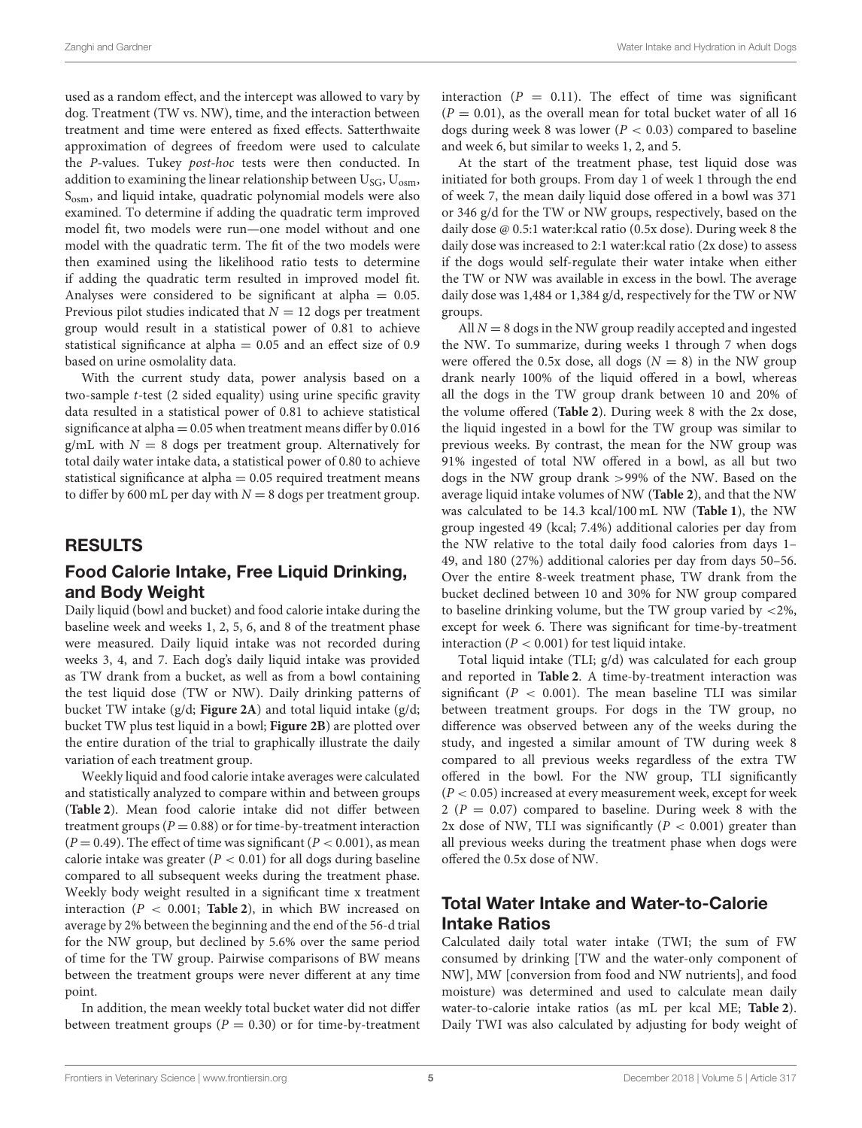used as a random effect, and the intercept was allowed to vary by dog. Treatment (TW vs. NW), time, and the interaction between treatment and time were entered as fixed effects. Satterthwaite approximation of degrees of freedom were used to calculate the P-values. Tukey post-hoc tests were then conducted. In addition to examining the linear relationship between  $U_{SG}$ ,  $U_{osm}$ , Sosm, and liquid intake, quadratic polynomial models were also examined. To determine if adding the quadratic term improved model fit, two models were run—one model without and one model with the quadratic term. The fit of the two models were then examined using the likelihood ratio tests to determine if adding the quadratic term resulted in improved model fit. Analyses were considered to be significant at alpha  $= 0.05$ . Previous pilot studies indicated that  $N = 12$  dogs per treatment group would result in a statistical power of 0.81 to achieve statistical significance at alpha = 0.05 and an effect size of 0.9 based on urine osmolality data.

With the current study data, power analysis based on a two-sample t-test (2 sided equality) using urine specific gravity data resulted in a statistical power of 0.81 to achieve statistical significance at alpha  $= 0.05$  when treatment means differ by 0.016 g/mL with  $N = 8$  dogs per treatment group. Alternatively for total daily water intake data, a statistical power of 0.80 to achieve statistical significance at alpha = 0.05 required treatment means to differ by 600 mL per day with  $N = 8$  dogs per treatment group.

# RESULTS

# Food Calorie Intake, Free Liquid Drinking, and Body Weight

Daily liquid (bowl and bucket) and food calorie intake during the baseline week and weeks 1, 2, 5, 6, and 8 of the treatment phase were measured. Daily liquid intake was not recorded during weeks 3, 4, and 7. Each dog's daily liquid intake was provided as TW drank from a bucket, as well as from a bowl containing the test liquid dose (TW or NW). Daily drinking patterns of bucket TW intake (g/d; **[Figure 2A](#page-5-0)**) and total liquid intake (g/d; bucket TW plus test liquid in a bowl; **[Figure 2B](#page-5-0)**) are plotted over the entire duration of the trial to graphically illustrate the daily variation of each treatment group.

Weekly liquid and food calorie intake averages were calculated and statistically analyzed to compare within and between groups (**[Table 2](#page-6-0)**). Mean food calorie intake did not differ between treatment groups ( $P = 0.88$ ) or for time-by-treatment interaction  $(P = 0.49)$ . The effect of time was significant  $(P < 0.001)$ , as mean calorie intake was greater ( $P < 0.01$ ) for all dogs during baseline compared to all subsequent weeks during the treatment phase. Weekly body weight resulted in a significant time x treatment interaction  $(P < 0.001$ ; **[Table 2](#page-6-0)**), in which BW increased on average by 2% between the beginning and the end of the 56-d trial for the NW group, but declined by 5.6% over the same period of time for the TW group. Pairwise comparisons of BW means between the treatment groups were never different at any time point.

In addition, the mean weekly total bucket water did not differ between treatment groups ( $P = 0.30$ ) or for time-by-treatment interaction ( $P = 0.11$ ). The effect of time was significant  $(P = 0.01)$ , as the overall mean for total bucket water of all 16 dogs during week 8 was lower ( $P < 0.03$ ) compared to baseline and week 6, but similar to weeks 1, 2, and 5.

At the start of the treatment phase, test liquid dose was initiated for both groups. From day 1 of week 1 through the end of week 7, the mean daily liquid dose offered in a bowl was 371 or 346 g/d for the TW or NW groups, respectively, based on the daily dose @ 0.5:1 water:kcal ratio (0.5x dose). During week 8 the daily dose was increased to 2:1 water:kcal ratio (2x dose) to assess if the dogs would self-regulate their water intake when either the TW or NW was available in excess in the bowl. The average daily dose was 1,484 or 1,384 g/d, respectively for the TW or NW groups.

All  $N = 8$  dogs in the NW group readily accepted and ingested the NW. To summarize, during weeks 1 through 7 when dogs were offered the 0.5x dose, all dogs  $(N = 8)$  in the NW group drank nearly 100% of the liquid offered in a bowl, whereas all the dogs in the TW group drank between 10 and 20% of the volume offered (**[Table 2](#page-6-0)**). During week 8 with the 2x dose, the liquid ingested in a bowl for the TW group was similar to previous weeks. By contrast, the mean for the NW group was 91% ingested of total NW offered in a bowl, as all but two dogs in the NW group drank >99% of the NW. Based on the average liquid intake volumes of NW (**[Table 2](#page-6-0)**), and that the NW was calculated to be 14.3 kcal/100 mL NW (**[Table 1](#page-3-0)**), the NW group ingested 49 (kcal; 7.4%) additional calories per day from the NW relative to the total daily food calories from days 1– 49, and 180 (27%) additional calories per day from days 50–56. Over the entire 8-week treatment phase, TW drank from the bucket declined between 10 and 30% for NW group compared to baseline drinking volume, but the TW group varied by <2%, except for week 6. There was significant for time-by-treatment interaction ( $P < 0.001$ ) for test liquid intake.

Total liquid intake (TLI; g/d) was calculated for each group and reported in **[Table 2](#page-6-0)**. A time-by-treatment interaction was significant ( $P < 0.001$ ). The mean baseline TLI was similar between treatment groups. For dogs in the TW group, no difference was observed between any of the weeks during the study, and ingested a similar amount of TW during week 8 compared to all previous weeks regardless of the extra TW offered in the bowl. For the NW group, TLI significantly  $(P < 0.05)$  increased at every measurement week, except for week 2 ( $P = 0.07$ ) compared to baseline. During week 8 with the 2x dose of NW, TLI was significantly ( $P < 0.001$ ) greater than all previous weeks during the treatment phase when dogs were offered the 0.5x dose of NW.

# Total Water Intake and Water-to-Calorie Intake Ratios

Calculated daily total water intake (TWI; the sum of FW consumed by drinking [TW and the water-only component of NW], MW [conversion from food and NW nutrients], and food moisture) was determined and used to calculate mean daily water-to-calorie intake ratios (as mL per kcal ME; **[Table 2](#page-6-0)**). Daily TWI was also calculated by adjusting for body weight of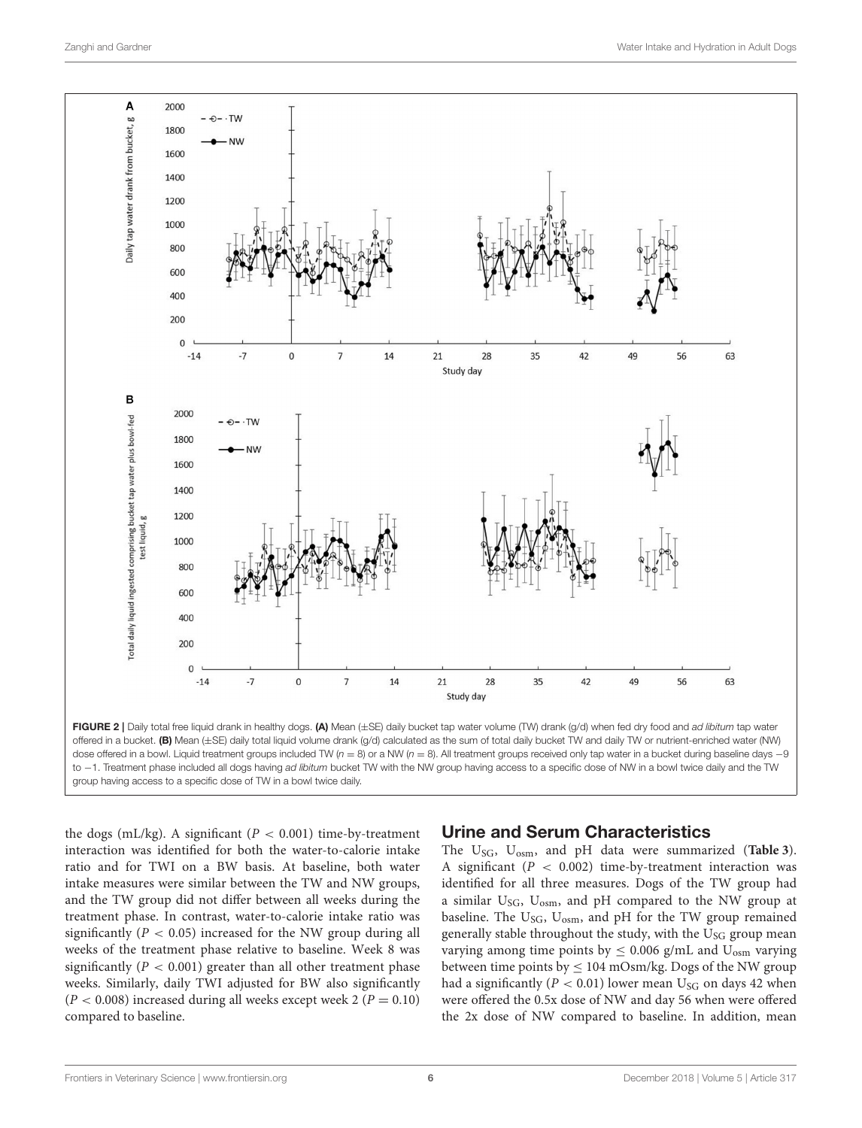

<span id="page-5-0"></span>dose offered in a bowl. Liquid treatment groups included TW ( $n = 8$ ) or a NW ( $n = 8$ ). All treatment groups received only tap water in a bucket during baseline days -9 to -1. Treatment phase included all dogs having ad libitum bucket TW with the NW group having access to a specific dose of NW in a bowl twice daily and the TW group having access to a specific dose of TW in a bowl twice daily.

the dogs (mL/kg). A significant ( $P < 0.001$ ) time-by-treatment interaction was identified for both the water-to-calorie intake ratio and for TWI on a BW basis. At baseline, both water intake measures were similar between the TW and NW groups, and the TW group did not differ between all weeks during the treatment phase. In contrast, water-to-calorie intake ratio was significantly ( $P < 0.05$ ) increased for the NW group during all weeks of the treatment phase relative to baseline. Week 8 was significantly ( $P < 0.001$ ) greater than all other treatment phase weeks. Similarly, daily TWI adjusted for BW also significantly  $(P < 0.008)$  increased during all weeks except week 2  $(P = 0.10)$ compared to baseline.

# Urine and Serum Characteristics

The USG, Uosm, and pH data were summarized (**[Table 3](#page-7-0)**). A significant ( $P < 0.002$ ) time-by-treatment interaction was identified for all three measures. Dogs of the TW group had a similar  $U_{SG}$ ,  $U_{osm}$ , and pH compared to the NW group at baseline. The  $U_{SG}$ ,  $U_{osm}$ , and pH for the TW group remained generally stable throughout the study, with the U<sub>SG</sub> group mean varying among time points by  $\leq 0.006$  g/mL and U<sub>osm</sub> varying between time points by  $\leq 104$  mOsm/kg. Dogs of the NW group had a significantly ( $P < 0.01$ ) lower mean U<sub>SG</sub> on days 42 when were offered the 0.5x dose of NW and day 56 when were offered the 2x dose of NW compared to baseline. In addition, mean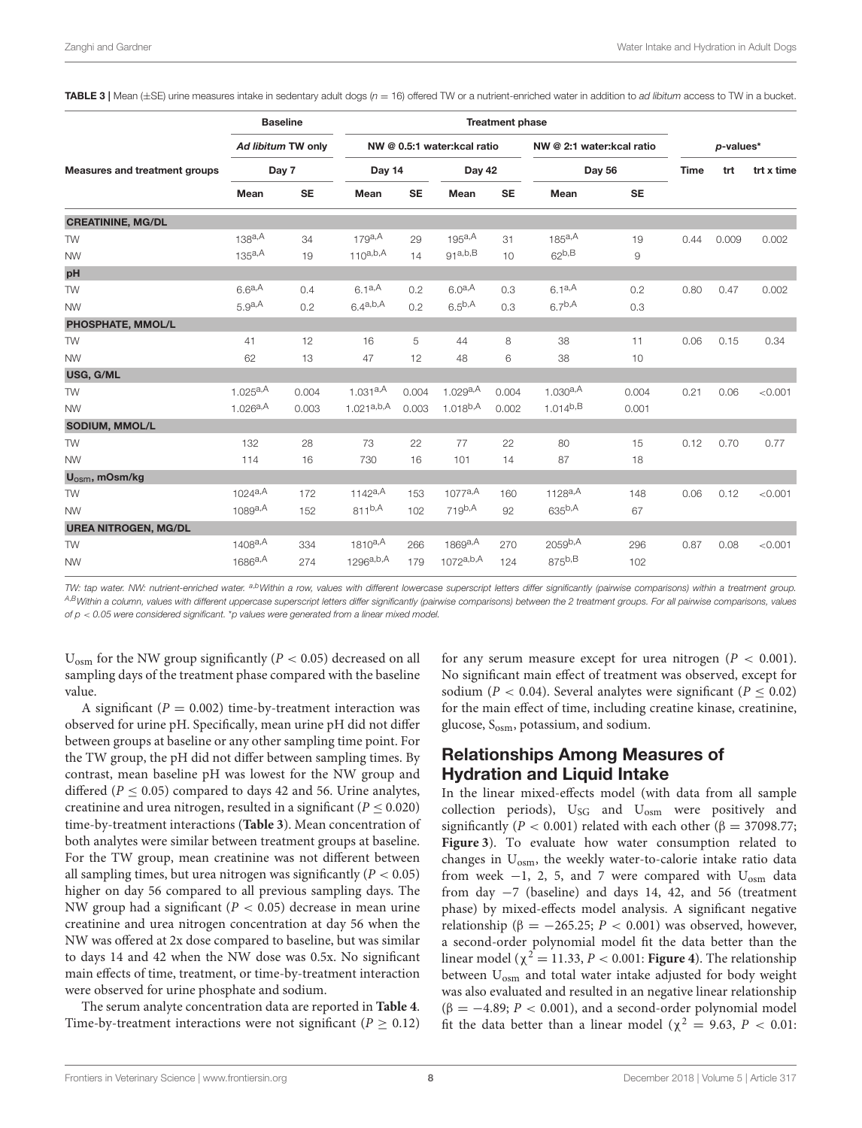<span id="page-7-0"></span>TABLE 3 | Mean  $(\pm S)$  urine measures intake in sedentary adult dogs ( $n = 16$ ) offered TW or a nutrient-enriched water in addition to ad libitum access to TW in a bucket.

|                               | <b>Baseline</b><br>Ad libitum TW only<br>Day 7 |           | <b>Treatment phase</b>      |           |                |           |                           |           |             |       |            |
|-------------------------------|------------------------------------------------|-----------|-----------------------------|-----------|----------------|-----------|---------------------------|-----------|-------------|-------|------------|
| Measures and treatment groups |                                                |           | NW @ 0.5:1 water:kcal ratio |           |                |           | NW @ 2:1 water:kcal ratio |           | p-values*   |       |            |
|                               |                                                |           | Day 14                      |           | Day 42         |           | Day 56                    |           | <b>Time</b> | trt   | trt x time |
|                               | Mean                                           | <b>SE</b> | Mean                        | <b>SE</b> | Mean           | <b>SE</b> | Mean                      | <b>SE</b> |             |       |            |
| <b>CREATININE, MG/DL</b>      |                                                |           |                             |           |                |           |                           |           |             |       |            |
| <b>TW</b>                     | 138a,A                                         | 34        | 179a,A                      | 29        | 195a,A         | 31        | 185a, A                   | 19        | 0.44        | 0.009 | 0.002      |
| <b>NW</b>                     | 135a,A                                         | 19        | $110^{a,b,A}$               | 14        | 91a,b,B        | 10        | $62^{b,B}$                | 9         |             |       |            |
| pH                            |                                                |           |                             |           |                |           |                           |           |             |       |            |
| <b>TW</b>                     | $6.6^{a,A}$                                    | 0.4       | $6.1a^{A}$                  | 0.2       | $6.0^{a,A}$    | 0.3       | $6.1a^{A}$                | 0.2       | 0.80        | 0.47  | 0.002      |
| <b>NW</b>                     | 5.9a <sub>A</sub>                              | 0.2       | $6.4^{a,b,A}$               | 0.2       | $6.5^{b,A}$    | 0.3       | $6.7^{b,A}$               | 0.3       |             |       |            |
| PHOSPHATE, MMOL/L             |                                                |           |                             |           |                |           |                           |           |             |       |            |
| <b>TW</b>                     | 41                                             | 12        | 16                          | 5         | 44             | 8         | 38                        | 11        | 0.06        | 0.15  | 0.34       |
| <b>NW</b>                     | 62                                             | 13        | 47                          | 12        | 48             | 6         | 38                        | 10        |             |       |            |
| USG, G/ML                     |                                                |           |                             |           |                |           |                           |           |             |       |            |
| <b>TW</b>                     | $1.025^{a,A}$                                  | 0.004     | $1.031^{a,A}$               | 0.004     | 1.029a, A      | 0.004     | $1.030^{a,A}$             | 0.004     | 0.21        | 0.06  | < 0.001    |
| <b>NW</b>                     | $1.026^{a,A}$                                  | 0.003     | $1.021^{a,b,A}$             | 0.003     | $1.018^{b,A}$  | 0.002     | $1.014^{b,B}$             | 0.001     |             |       |            |
| SODIUM, MMOL/L                |                                                |           |                             |           |                |           |                           |           |             |       |            |
| <b>TW</b>                     | 132                                            | 28        | 73                          | 22        | 77             | 22        | 80                        | 15        | 0.12        | 0.70  | 0.77       |
| <b>NW</b>                     | 114                                            | 16        | 730                         | 16        | 101            | 14        | 87                        | 18        |             |       |            |
| $U_{\text{osm}}$ , mOsm/kg    |                                                |           |                             |           |                |           |                           |           |             |       |            |
| <b>TW</b>                     | 1024a,A                                        | 172       | 1142a,A                     | 153       | 1077a,A        | 160       | 1128a,A                   | 148       | 0.06        | 0.12  | < 0.001    |
| <b>NW</b>                     | $1089^{a,A}$                                   | 152       | $811^{b,A}$                 | 102       | $719^{b,A}$    | 92        | $635^{b,A}$               | 67        |             |       |            |
| <b>UREA NITROGEN, MG/DL</b>   |                                                |           |                             |           |                |           |                           |           |             |       |            |
| <b>TW</b>                     | 1408a,A                                        | 334       | $1810^{a,A}$                | 266       | 1869a,A        | 270       | 2059 <sup>b,A</sup>       | 296       | 0.87        | 0.08  | < 0.001    |
| <b>NW</b>                     | $1686^{a,A}$                                   | 274       | $1296^{a,b,A}$              | 179       | $1072^{a,b,A}$ | 124       | $875^{b,B}$               | 102       |             |       |            |

TW: tap water. NW: nutrient-enriched water. <sup>a,b</sup>Within a row, values with different lowercase superscript letters differ significantly (pairwise comparisons) within a treatment group. A,BWithin a column, values with different uppercase superscript letters differ significantly (pairwise comparisons) between the 2 treatment groups. For all pairwise comparisons, values of  $p < 0.05$  were considered significant. \*p values were generated from a linear mixed model.

 $U_{osm}$  for the NW group significantly ( $P < 0.05$ ) decreased on all sampling days of the treatment phase compared with the baseline value.

A significant ( $P = 0.002$ ) time-by-treatment interaction was observed for urine pH. Specifically, mean urine pH did not differ between groups at baseline or any other sampling time point. For the TW group, the pH did not differ between sampling times. By contrast, mean baseline pH was lowest for the NW group and differed ( $P \le 0.05$ ) compared to days 42 and 56. Urine analytes, creatinine and urea nitrogen, resulted in a significant  $(P < 0.020)$ time-by-treatment interactions (**[Table 3](#page-7-0)**). Mean concentration of both analytes were similar between treatment groups at baseline. For the TW group, mean creatinine was not different between all sampling times, but urea nitrogen was significantly  $(P < 0.05)$ higher on day 56 compared to all previous sampling days. The NW group had a significant ( $P < 0.05$ ) decrease in mean urine creatinine and urea nitrogen concentration at day 56 when the NW was offered at 2x dose compared to baseline, but was similar to days 14 and 42 when the NW dose was 0.5x. No significant main effects of time, treatment, or time-by-treatment interaction were observed for urine phosphate and sodium.

The serum analyte concentration data are reported in **[Table 4](#page-8-0)**. Time-by-treatment interactions were not significant ( $P \ge 0.12$ ) for any serum measure except for urea nitrogen ( $P < 0.001$ ). No significant main effect of treatment was observed, except for sodium ( $P < 0.04$ ). Several analytes were significant ( $P < 0.02$ ) for the main effect of time, including creatine kinase, creatinine, glucose,  $S_{\text{osm}}$ , potassium, and sodium.

# Relationships Among Measures of Hydration and Liquid Intake

In the linear mixed-effects model (with data from all sample collection periods),  $U_{SG}$  and  $U_{osm}$  were positively and significantly ( $P < 0.001$ ) related with each other ( $\beta = 37098.77$ ; **[Figure 3](#page-9-0)**). To evaluate how water consumption related to changes in U<sub>osm</sub>, the weekly water-to-calorie intake ratio data from week  $-1$ , 2, 5, and 7 were compared with  $U_{\text{osm}}$  data from day −7 (baseline) and days 14, 42, and 56 (treatment phase) by mixed-effects model analysis. A significant negative relationship ( $\beta = -265.25$ ;  $P < 0.001$ ) was observed, however, a second-order polynomial model fit the data better than the linear model ( $\chi^2$  = 11.33, *P* < 0.001: **[Figure 4](#page-9-1)**). The relationship between U<sub>osm</sub> and total water intake adjusted for body weight was also evaluated and resulted in an negative linear relationship ( $\beta = -4.89$ ;  $P < 0.001$ ), and a second-order polynomial model fit the data better than a linear model ( $\chi^2 = 9.63$ ,  $P < 0.01$ )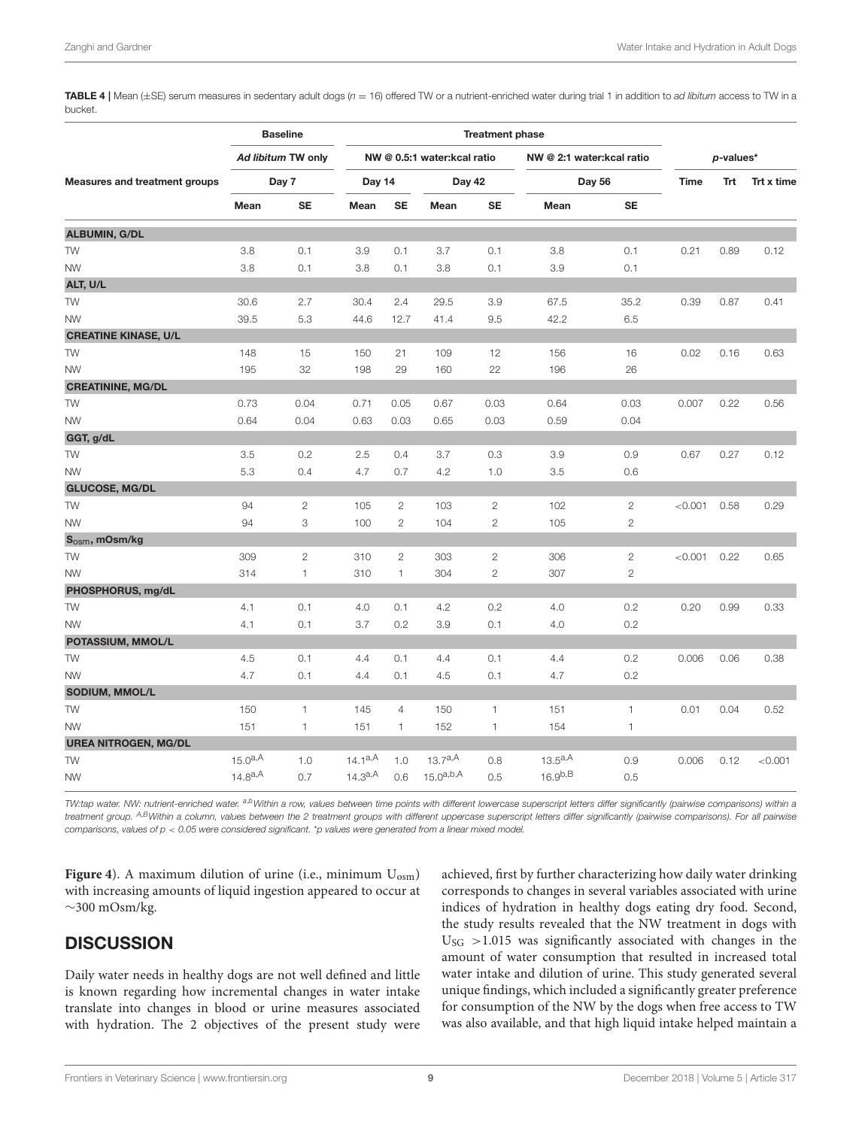<span id="page-8-0"></span>TABLE 4 | Mean ( $\pm$ SE) serum measures in sedentary adult dogs ( $n = 16$ ) offered TW or a nutrient-enriched water during trial 1 in addition to ad libitum access to TW in a bucket.

| <b>Measures and treatment groups</b> | <b>Baseline</b><br>Ad libitum TW only<br>Day 7 |                | <b>Treatment phase</b>      |                |                |                           |               |              |             |      |            |
|--------------------------------------|------------------------------------------------|----------------|-----------------------------|----------------|----------------|---------------------------|---------------|--------------|-------------|------|------------|
|                                      |                                                |                | NW @ 0.5:1 water:kcal ratio |                |                | NW @ 2:1 water:kcal ratio |               | $p$ -values* |             |      |            |
|                                      |                                                |                | Day 14                      |                | Day 42         |                           | Day 56        |              | <b>Time</b> | Trt  | Trt x time |
|                                      | Mean                                           | <b>SE</b>      | Mean                        | <b>SE</b>      | Mean           | <b>SE</b>                 | Mean          | <b>SE</b>    |             |      |            |
| ALBUMIN, G/DL                        |                                                |                |                             |                |                |                           |               |              |             |      |            |
| TW                                   | 3.8                                            | 0.1            | 3.9                         | 0.1            | 3.7            | 0.1                       | 3.8           | 0.1          | 0.21        | 0.89 | 0.12       |
| <b>NW</b>                            | 3.8                                            | 0.1            | 3.8                         | 0.1            | 3.8            | 0.1                       | 3.9           | 0.1          |             |      |            |
| ALT, U/L                             |                                                |                |                             |                |                |                           |               |              |             |      |            |
| TW                                   | 30.6                                           | 2.7            | 30.4                        | 2.4            | 29.5           | 3.9                       | 67.5          | 35.2         | 0.39        | 0.87 | 0.41       |
| <b>NW</b>                            | 39.5                                           | 5.3            | 44.6                        | 12.7           | 41.4           | 9.5                       | 42.2          | 6.5          |             |      |            |
| <b>CREATINE KINASE, U/L</b>          |                                                |                |                             |                |                |                           |               |              |             |      |            |
| TW                                   | 148                                            | 15             | 150                         | 21             | 109            | 12                        | 156           | 16           | 0.02        | 0.16 | 0.63       |
| <b>NW</b>                            | 195                                            | 32             | 198                         | 29             | 160            | 22                        | 196           | 26           |             |      |            |
| <b>CREATININE, MG/DL</b>             |                                                |                |                             |                |                |                           |               |              |             |      |            |
| <b>TW</b>                            | 0.73                                           | 0.04           | 0.71                        | 0.05           | 0.67           | 0.03                      | 0.64          | 0.03         | 0.007       | 0.22 | 0.56       |
| <b>NW</b>                            | 0.64                                           | 0.04           | 0.63                        | 0.03           | 0.65           | 0.03                      | 0.59          | 0.04         |             |      |            |
| GGT, g/dL                            |                                                |                |                             |                |                |                           |               |              |             |      |            |
| <b>TW</b>                            | 3.5                                            | 0.2            | 2.5                         | 0.4            | 3.7            | 0.3                       | 3.9           | 0.9          | 0.67        | 0.27 | 0.12       |
| <b>NW</b>                            | 5.3                                            | 0.4            | 4.7                         | 0.7            | 4.2            | 1.0                       | 3.5           | 0.6          |             |      |            |
| <b>GLUCOSE, MG/DL</b>                |                                                |                |                             |                |                |                           |               |              |             |      |            |
| <b>TW</b>                            | 94                                             | $\overline{2}$ | 105                         | $\mathbf{2}$   | 103            | $\mathbf{2}$              | 102           | $\mathbf{2}$ | < 0.001     | 0.58 | 0.29       |
| <b>NW</b>                            | 94                                             | 3              | 100                         | $\overline{c}$ | 104            | $\mathbf{2}$              | 105           | $\mathbf{2}$ |             |      |            |
| $S_{\text{osm}}$ , mOsm/kg           |                                                |                |                             |                |                |                           |               |              |             |      |            |
| TW                                   | 309                                            | $\mathbf{2}$   | 310                         | $\mathbf{2}$   | 303            | $\mathbf{2}$              | 306           | $\mathbf{2}$ | < 0.001     | 0.22 | 0.65       |
| <b>NW</b>                            | 314                                            | $\mathbf{1}$   | 310                         | $\mathbf{1}$   | 304            | $\mathbf{2}$              | 307           | $\mathbf{2}$ |             |      |            |
| PHOSPHORUS, mg/dL                    |                                                |                |                             |                |                |                           |               |              |             |      |            |
| <b>TW</b>                            | 4.1                                            | 0.1            | 4.0                         | 0.1            | 4.2            | 0.2                       | 4.0           | 0.2          | 0.20        | 0.99 | 0.33       |
| <b>NW</b>                            | 4.1                                            | 0.1            | 3.7                         | 0.2            | 3.9            | 0.1                       | 4.0           | 0.2          |             |      |            |
| POTASSIUM, MMOL/L                    |                                                |                |                             |                |                |                           |               |              |             |      |            |
| TW                                   | 4.5                                            | 0.1            | 4.4                         | 0.1            | 4.4            | 0.1                       | 4.4           | 0.2          | 0.006       | 0.06 | 0.38       |
| <b>NW</b>                            | 4.7                                            | 0.1            | 4.4                         | 0.1            | 4.5            | 0.1                       | 4.7           | 0.2          |             |      |            |
| SODIUM, MMOL/L                       |                                                |                |                             |                |                |                           |               |              |             |      |            |
| TW                                   | 150                                            | $\mathbf{1}$   | 145                         | $\overline{4}$ | 150            | 1                         | 151           | 1            | 0.01        | 0.04 | 0.52       |
| <b>NW</b>                            | 151                                            | $\mathbf{1}$   | 151                         | $\mathbf{1}$   | 152            | 1                         | 154           | 1            |             |      |            |
| <b>UREA NITROGEN, MG/DL</b>          |                                                |                |                             |                |                |                           |               |              |             |      |            |
| TW                                   | $15.0^{a,A}$                                   | 1.0            | 14.1a,A                     | 1.0            | 13.7a,A        | 0.8                       | 13.5a,A       | 0.9          | 0.006       | 0.12 | < 0.001    |
| <b>NW</b>                            | $14.8^{a,A}$                                   | 0.7            | $14.3^{a,A}$                | 0.6            | $15.0^{a,b,A}$ | 0.5                       | $16.9^{b, B}$ | 0.5          |             |      |            |

TW:tap water. NW: nutrient-enriched water. a,bWithin a row, values between time points with different lowercase superscript letters differ significantly (pairwise comparisons) within a treatment group. <sup>A,B</sup>Within a column, values between the 2 treatment groups with different uppercase superscript letters differ significantly (pairwise comparisons). For all pairwise comparisons, values of  $p < 0.05$  were considered significant. \*p values were generated from a linear mixed model.

**[Figure 4](#page-9-1)**). A maximum dilution of urine (i.e., minimum  $U_{\text{osm}}$ ) with increasing amounts of liquid ingestion appeared to occur at  $\sim$ 300 mOsm/kg.

# **DISCUSSION**

Daily water needs in healthy dogs are not well defined and little is known regarding how incremental changes in water intake translate into changes in blood or urine measures associated with hydration. The 2 objectives of the present study were achieved, first by further characterizing how daily water drinking corresponds to changes in several variables associated with urine indices of hydration in healthy dogs eating dry food. Second, the study results revealed that the NW treatment in dogs with  $U<sub>SG</sub> > 1.015$  was significantly associated with changes in the amount of water consumption that resulted in increased total water intake and dilution of urine. This study generated several unique findings, which included a significantly greater preference for consumption of the NW by the dogs when free access to TW was also available, and that high liquid intake helped maintain a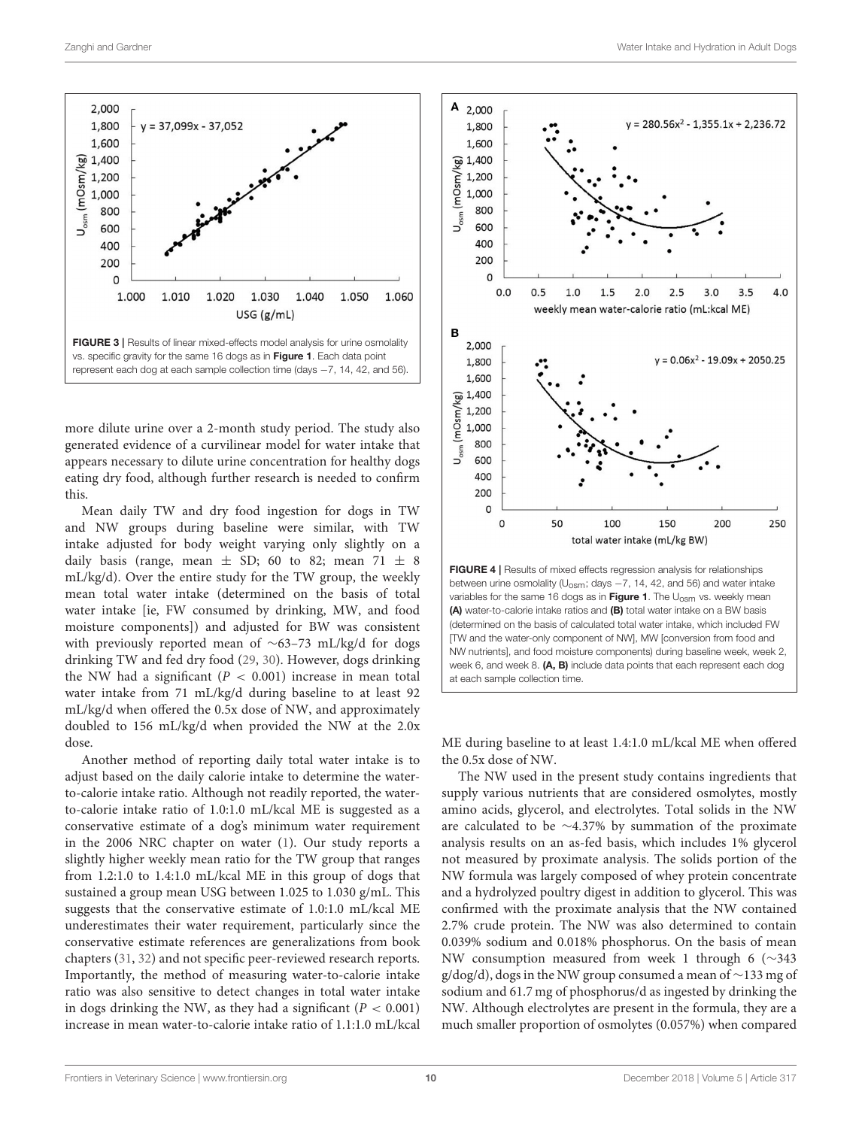

<span id="page-9-0"></span>more dilute urine over a 2-month study period. The study also generated evidence of a curvilinear model for water intake that appears necessary to dilute urine concentration for healthy dogs eating dry food, although further research is needed to confirm this.

Mean daily TW and dry food ingestion for dogs in TW and NW groups during baseline were similar, with TW intake adjusted for body weight varying only slightly on a daily basis (range, mean  $\pm$  SD; 60 to 82; mean 71  $\pm$  8 mL/kg/d). Over the entire study for the TW group, the weekly mean total water intake (determined on the basis of total water intake [ie, FW consumed by drinking, MW, and food moisture components]) and adjusted for BW was consistent with previously reported mean of ∼63–73 mL/kg/d for dogs drinking TW and fed dry food [\(29,](#page-11-24) [30\)](#page-11-25). However, dogs drinking the NW had a significant ( $P < 0.001$ ) increase in mean total water intake from 71 mL/kg/d during baseline to at least 92 mL/kg/d when offered the 0.5x dose of NW, and approximately doubled to 156 mL/kg/d when provided the NW at the 2.0x dose.

Another method of reporting daily total water intake is to adjust based on the daily calorie intake to determine the waterto-calorie intake ratio. Although not readily reported, the waterto-calorie intake ratio of 1.0:1.0 mL/kcal ME is suggested as a conservative estimate of a dog's minimum water requirement in the 2006 NRC chapter on water [\(1\)](#page-11-0). Our study reports a slightly higher weekly mean ratio for the TW group that ranges from 1.2:1.0 to 1.4:1.0 mL/kcal ME in this group of dogs that sustained a group mean USG between 1.025 to 1.030 g/mL. This suggests that the conservative estimate of 1.0:1.0 mL/kcal ME underestimates their water requirement, particularly since the conservative estimate references are generalizations from book chapters [\(31,](#page-12-0) [32\)](#page-12-1) and not specific peer-reviewed research reports. Importantly, the method of measuring water-to-calorie intake ratio was also sensitive to detect changes in total water intake in dogs drinking the NW, as they had a significant ( $P < 0.001$ ) increase in mean water-to-calorie intake ratio of 1.1:1.0 mL/kcal



<span id="page-9-1"></span>week 6, and week 8. (A, B) include data points that each represent each dog

at each sample collection time.

ME during baseline to at least 1.4:1.0 mL/kcal ME when offered the 0.5x dose of NW.

The NW used in the present study contains ingredients that supply various nutrients that are considered osmolytes, mostly amino acids, glycerol, and electrolytes. Total solids in the NW are calculated to be ∼4.37% by summation of the proximate analysis results on an as-fed basis, which includes 1% glycerol not measured by proximate analysis. The solids portion of the NW formula was largely composed of whey protein concentrate and a hydrolyzed poultry digest in addition to glycerol. This was confirmed with the proximate analysis that the NW contained 2.7% crude protein. The NW was also determined to contain 0.039% sodium and 0.018% phosphorus. On the basis of mean NW consumption measured from week 1 through 6 (∼343 g/dog/d), dogs in the NW group consumed a mean of ∼133 mg of sodium and 61.7 mg of phosphorus/d as ingested by drinking the NW. Although electrolytes are present in the formula, they are a much smaller proportion of osmolytes (0.057%) when compared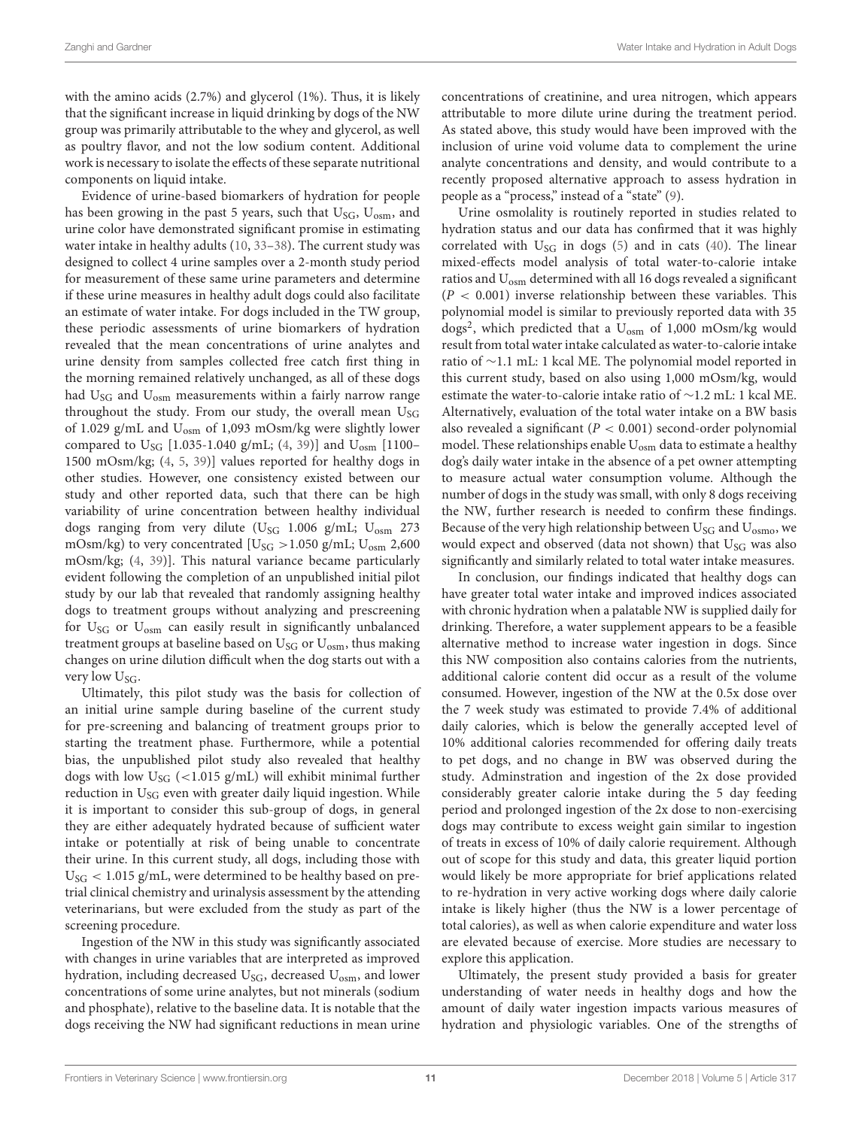with the amino acids (2.7%) and glycerol (1%). Thus, it is likely that the significant increase in liquid drinking by dogs of the NW group was primarily attributable to the whey and glycerol, as well as poultry flavor, and not the low sodium content. Additional work is necessary to isolate the effects of these separate nutritional components on liquid intake.

Evidence of urine-based biomarkers of hydration for people has been growing in the past 5 years, such that  $U_{SG}$ ,  $U_{osm}$ , and urine color have demonstrated significant promise in estimating water intake in healthy adults [\(10,](#page-11-7) [33](#page-12-2)[–38\)](#page-12-3). The current study was designed to collect 4 urine samples over a 2-month study period for measurement of these same urine parameters and determine if these urine measures in healthy adult dogs could also facilitate an estimate of water intake. For dogs included in the TW group, these periodic assessments of urine biomarkers of hydration revealed that the mean concentrations of urine analytes and urine density from samples collected free catch first thing in the morning remained relatively unchanged, as all of these dogs had  $U_{SG}$  and  $U_{osm}$  measurements within a fairly narrow range throughout the study. From our study, the overall mean U<sub>SG</sub> of 1.029 g/mL and Uosm of 1,093 mOsm/kg were slightly lower compared to  $U_{SG}$  [1.035-1.040 g/mL; [\(4,](#page-11-3) [39\)](#page-12-4)] and  $U_{osm}$  [1100– 1500 mOsm/kg; [\(4,](#page-11-3) [5,](#page-11-4) [39\)](#page-12-4)] values reported for healthy dogs in other studies. However, one consistency existed between our study and other reported data, such that there can be high variability of urine concentration between healthy individual dogs ranging from very dilute ( $U_{SG}$  1.006 g/mL;  $U_{osm}$  273 mOsm/kg) to very concentrated [ $U_{SG} > 1.050$  g/mL;  $U_{osm}$  2,600 mOsm/kg; [\(4,](#page-11-3) [39\)](#page-12-4)]. This natural variance became particularly evident following the completion of an unpublished initial pilot study by our lab that revealed that randomly assigning healthy dogs to treatment groups without analyzing and prescreening for  $U_{SG}$  or  $U_{osm}$  can easily result in significantly unbalanced treatment groups at baseline based on  $U_{SG}$  or  $U_{osm}$ , thus making changes on urine dilution difficult when the dog starts out with a very low  $U_{SG}$ .

Ultimately, this pilot study was the basis for collection of an initial urine sample during baseline of the current study for pre-screening and balancing of treatment groups prior to starting the treatment phase. Furthermore, while a potential bias, the unpublished pilot study also revealed that healthy dogs with low  $U_{SG}$  (<1.015 g/mL) will exhibit minimal further reduction in  $U_{SG}$  even with greater daily liquid ingestion. While it is important to consider this sub-group of dogs, in general they are either adequately hydrated because of sufficient water intake or potentially at risk of being unable to concentrate their urine. In this current study, all dogs, including those with  $U<sub>SG</sub> < 1.015$  g/mL, were determined to be healthy based on pretrial clinical chemistry and urinalysis assessment by the attending veterinarians, but were excluded from the study as part of the screening procedure.

Ingestion of the NW in this study was significantly associated with changes in urine variables that are interpreted as improved hydration, including decreased  $U_{SG}$ , decreased  $U_{osm}$ , and lower concentrations of some urine analytes, but not minerals (sodium and phosphate), relative to the baseline data. It is notable that the dogs receiving the NW had significant reductions in mean urine concentrations of creatinine, and urea nitrogen, which appears attributable to more dilute urine during the treatment period. As stated above, this study would have been improved with the inclusion of urine void volume data to complement the urine analyte concentrations and density, and would contribute to a recently proposed alternative approach to assess hydration in people as a "process," instead of a "state" [\(9\)](#page-11-6).

Urine osmolality is routinely reported in studies related to hydration status and our data has confirmed that it was highly correlated with  $U_{SG}$  in dogs [\(5\)](#page-11-4) and in cats [\(40\)](#page-12-5). The linear mixed-effects model analysis of total water-to-calorie intake ratios and U<sub>osm</sub> determined with all 16 dogs revealed a significant  $(P < 0.001)$  inverse relationship between these variables. This polynomial model is similar to previously reported data with 35 dogs<sup>2</sup>, which predicted that a U<sub>osm</sub> of 1,000 mOsm/kg would result from total water intake calculated as water-to-calorie intake ratio of ∼1.1 mL: 1 kcal ME. The polynomial model reported in this current study, based on also using 1,000 mOsm/kg, would estimate the water-to-calorie intake ratio of ∼1.2 mL: 1 kcal ME. Alternatively, evaluation of the total water intake on a BW basis also revealed a significant ( $P < 0.001$ ) second-order polynomial model. These relationships enable U<sub>osm</sub> data to estimate a healthy dog's daily water intake in the absence of a pet owner attempting to measure actual water consumption volume. Although the number of dogs in the study was small, with only 8 dogs receiving the NW, further research is needed to confirm these findings. Because of the very high relationship between  $U_{SG}$  and  $U_{osmo}$ , we would expect and observed (data not shown) that  $U_{SG}$  was also significantly and similarly related to total water intake measures.

In conclusion, our findings indicated that healthy dogs can have greater total water intake and improved indices associated with chronic hydration when a palatable NW is supplied daily for drinking. Therefore, a water supplement appears to be a feasible alternative method to increase water ingestion in dogs. Since this NW composition also contains calories from the nutrients, additional calorie content did occur as a result of the volume consumed. However, ingestion of the NW at the 0.5x dose over the 7 week study was estimated to provide 7.4% of additional daily calories, which is below the generally accepted level of 10% additional calories recommended for offering daily treats to pet dogs, and no change in BW was observed during the study. Adminstration and ingestion of the 2x dose provided considerably greater calorie intake during the 5 day feeding period and prolonged ingestion of the 2x dose to non-exercising dogs may contribute to excess weight gain similar to ingestion of treats in excess of 10% of daily calorie requirement. Although out of scope for this study and data, this greater liquid portion would likely be more appropriate for brief applications related to re-hydration in very active working dogs where daily calorie intake is likely higher (thus the NW is a lower percentage of total calories), as well as when calorie expenditure and water loss are elevated because of exercise. More studies are necessary to explore this application.

Ultimately, the present study provided a basis for greater understanding of water needs in healthy dogs and how the amount of daily water ingestion impacts various measures of hydration and physiologic variables. One of the strengths of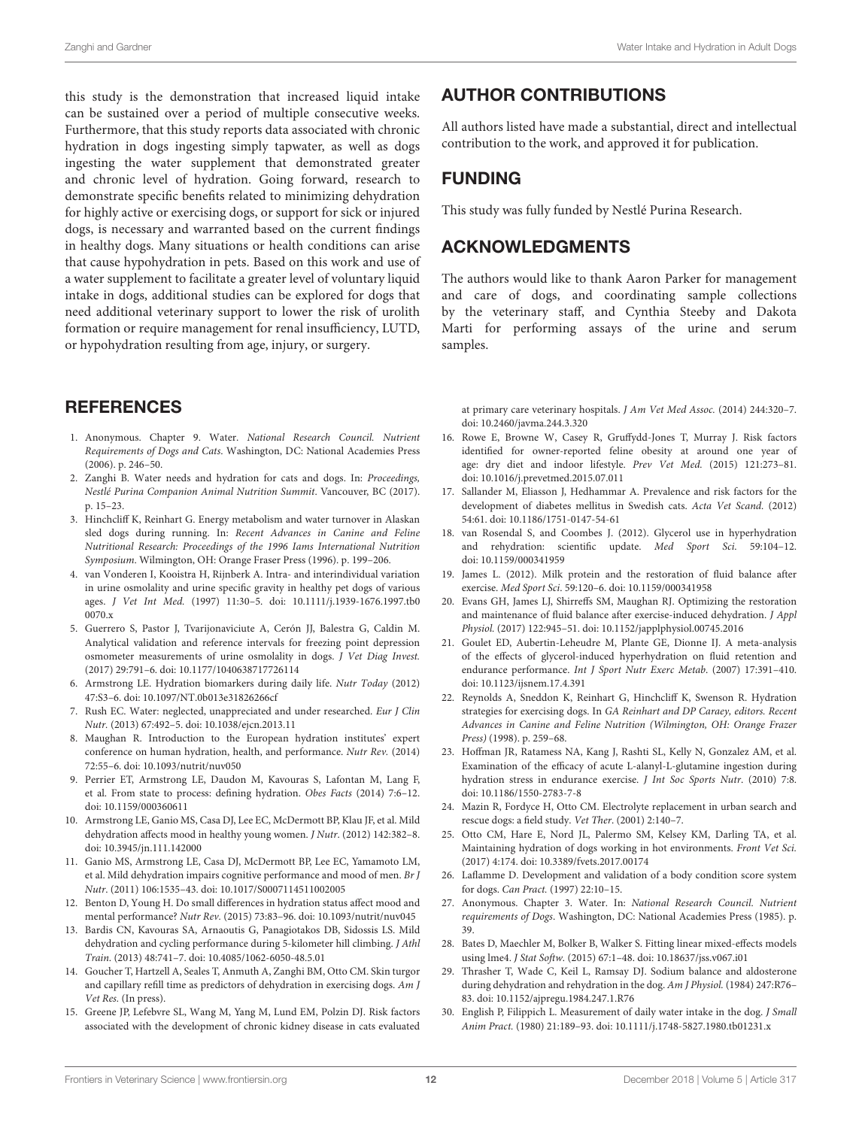this study is the demonstration that increased liquid intake can be sustained over a period of multiple consecutive weeks. Furthermore, that this study reports data associated with chronic hydration in dogs ingesting simply tapwater, as well as dogs ingesting the water supplement that demonstrated greater and chronic level of hydration. Going forward, research to demonstrate specific benefits related to minimizing dehydration for highly active or exercising dogs, or support for sick or injured dogs, is necessary and warranted based on the current findings in healthy dogs. Many situations or health conditions can arise that cause hypohydration in pets. Based on this work and use of a water supplement to facilitate a greater level of voluntary liquid intake in dogs, additional studies can be explored for dogs that need additional veterinary support to lower the risk of urolith formation or require management for renal insufficiency, LUTD, or hypohydration resulting from age, injury, or surgery.

## **REFERENCES**

- <span id="page-11-0"></span>1. Anonymous. Chapter 9. Water. National Research Council. Nutrient Requirements of Dogs and Cats. Washington, DC: National Academies Press (2006). p. 246–50.
- <span id="page-11-1"></span>2. Zanghi B. Water needs and hydration for cats and dogs. In: Proceedings, Nestlé Purina Companion Animal Nutrition Summit. Vancouver, BC (2017). p. 15–23.
- <span id="page-11-2"></span>3. Hinchcliff K, Reinhart G. Energy metabolism and water turnover in Alaskan sled dogs during running. In: Recent Advances in Canine and Feline Nutritional Research: Proceedings of the 1996 Iams International Nutrition Symposium. Wilmington, OH: Orange Fraser Press (1996). p. 199–206.
- <span id="page-11-3"></span>4. van Vonderen I, Kooistra H, Rijnberk A. Intra- and interindividual variation in urine osmolality and urine specific gravity in healthy pet dogs of various ages. J Vet Int Med. [\(1997\) 11:30–5. doi: 10.1111/j.1939-1676.1997.tb0](https://doi.org/10.1111/j.1939-1676.1997.tb00070.x) 0070.x
- <span id="page-11-4"></span>5. Guerrero S, Pastor J, Tvarijonaviciute A, Cerón JJ, Balestra G, Caldin M. Analytical validation and reference intervals for freezing point depression osmometer measurements of urine osmolality in dogs. J Vet Diag Invest. (2017) 29:791–6. doi: [10.1177/1040638717726114](https://doi.org/10.1177/1040638717726114)
- <span id="page-11-5"></span>6. Armstrong LE. Hydration biomarkers during daily life. Nutr Today (2012) 47:S3–6. doi: [10.1097/NT.0b013e31826266cf](https://doi.org/10.1097/NT.0b013e31826266cf)
- 7. Rush EC. Water: neglected, unappreciated and under researched. Eur J Clin Nutr. (2013) 67:492–5. doi: [10.1038/ejcn.2013.11](https://doi.org/10.1038/ejcn.2013.11)
- 8. Maughan R. Introduction to the European hydration institutes' expert conference on human hydration, health, and performance. Nutr Rev. (2014) 72:55–6. doi: [10.1093/nutrit/nuv050](https://doi.org/10.1093/nutrit/nuv050)
- <span id="page-11-6"></span>9. Perrier ET, Armstrong LE, Daudon M, Kavouras S, Lafontan M, Lang F, et al. From state to process: defining hydration. Obes Facts (2014) 7:6–12. doi: [10.1159/000360611](https://doi.org/10.1159/000360611)
- <span id="page-11-7"></span>10. Armstrong LE, Ganio MS, Casa DJ, Lee EC, McDermott BP, Klau JF, et al. Mild dehydration affects mood in healthy young women. J Nutr. (2012) 142:382–8. doi: [10.3945/jn.111.142000](https://doi.org/10.3945/jn.111.142000)
- 11. Ganio MS, Armstrong LE, Casa DJ, McDermott BP, Lee EC, Yamamoto LM, et al. Mild dehydration impairs cognitive performance and mood of men. Br J Nutr. (2011) 106:1535–43. doi: [10.1017/S0007114511002005](https://doi.org/10.1017/S0007114511002005)
- <span id="page-11-8"></span>12. Benton D, Young H. Do small differences in hydration status affect mood and mental performance? Nutr Rev. (2015) 73:83–96. doi: [10.1093/nutrit/nuv045](https://doi.org/10.1093/nutrit/nuv045)
- <span id="page-11-9"></span>13. Bardis CN, Kavouras SA, Arnaoutis G, Panagiotakos DB, Sidossis LS. Mild dehydration and cycling performance during 5-kilometer hill climbing. J Athl Train. (2013) 48:741–7. doi: [10.4085/1062-6050-48.5.01](https://doi.org/10.4085/1062-6050-48.5.01)
- <span id="page-11-10"></span>14. Goucher T, Hartzell A, Seales T, Anmuth A, Zanghi BM, Otto CM. Skin turgor and capillary refill time as predictors of dehydration in exercising dogs. Am J Vet Res. (In press).
- <span id="page-11-11"></span>15. Greene JP, Lefebvre SL, Wang M, Yang M, Lund EM, Polzin DJ. Risk factors associated with the development of chronic kidney disease in cats evaluated

# AUTHOR CONTRIBUTIONS

All authors listed have made a substantial, direct and intellectual contribution to the work, and approved it for publication.

## FUNDING

This study was fully funded by Nestlé Purina Research.

## ACKNOWLEDGMENTS

The authors would like to thank Aaron Parker for management and care of dogs, and coordinating sample collections by the veterinary staff, and Cynthia Steeby and Dakota Marti for performing assays of the urine and serum samples.

at primary care veterinary hospitals. J Am Vet Med Assoc. (2014) 244:320–7. doi: [10.2460/javma.244.3.320](https://doi.org/10.2460/javma.244.3.320)

- 16. Rowe E, Browne W, Casey R, Gruffydd-Jones T, Murray J. Risk factors identified for owner-reported feline obesity at around one year of age: dry diet and indoor lifestyle. Prev Vet Med. (2015) 121:273–81. doi: [10.1016/j.prevetmed.2015.07.011](https://doi.org/10.1016/j.prevetmed.2015.07.011)
- <span id="page-11-12"></span>17. Sallander M, Eliasson J, Hedhammar A. Prevalence and risk factors for the development of diabetes mellitus in Swedish cats. Acta Vet Scand. (2012) 54:61. doi: [10.1186/1751-0147-54-61](https://doi.org/10.1186/1751-0147-54-61)
- <span id="page-11-13"></span>18. van Rosendal S, and Coombes J. (2012). Glycerol use in hyperhydration and rehydration: scientific update. Med Sport Sci. 59:104–12. doi: [10.1159/000341959](https://doi.org/10.1159/000341959)
- <span id="page-11-18"></span>19. James L. (2012). Milk protein and the restoration of fluid balance after exercise. Med Sport Sci. 59:120–6. doi: [10.1159/000341958](https://doi.org/10.1159/000341958)
- <span id="page-11-14"></span>20. Evans GH, James LJ, Shirreffs SM, Maughan RJ. Optimizing the restoration and maintenance of fluid balance after exercise-induced dehydration. J Appl Physiol. (2017) 122:945–51. doi: [10.1152/japplphysiol.00745.2016](https://doi.org/10.1152/japplphysiol.00745.2016)
- <span id="page-11-15"></span>21. Goulet ED, Aubertin-Leheudre M, Plante GE, Dionne IJ. A meta-analysis of the effects of glycerol-induced hyperhydration on fluid retention and endurance performance. Int J Sport Nutr Exerc Metab. (2007) 17:391–410. doi: [10.1123/ijsnem.17.4.391](https://doi.org/10.1123/ijsnem.17.4.391)
- <span id="page-11-16"></span>22. Reynolds A, Sneddon K, Reinhart G, Hinchcliff K, Swenson R. Hydration strategies for exercising dogs. In GA Reinhart and DP Caraey, editors. Recent Advances in Canine and Feline Nutrition (Wilmington, OH: Orange Frazer Press) (1998). p. 259–68.
- <span id="page-11-17"></span>23. Hoffman JR, Ratamess NA, Kang J, Rashti SL, Kelly N, Gonzalez AM, et al. Examination of the efficacy of acute L-alanyl-L-glutamine ingestion during hydration stress in endurance exercise. J Int Soc Sports Nutr. (2010) 7:8. doi: [10.1186/1550-2783-7-8](https://doi.org/10.1186/1550-2783-7-8)
- <span id="page-11-19"></span>24. Mazin R, Fordyce H, Otto CM. Electrolyte replacement in urban search and rescue dogs: a field study. Vet Ther. (2001) 2:140–7.
- <span id="page-11-20"></span>25. Otto CM, Hare E, Nord JL, Palermo SM, Kelsey KM, Darling TA, et al. Maintaining hydration of dogs working in hot environments. Front Vet Sci. (2017) 4:174. doi: [10.3389/fvets.2017.00174](https://doi.org/10.3389/fvets.2017.00174)
- <span id="page-11-21"></span>26. Laflamme D. Development and validation of a body condition score system for dogs. Can Pract. (1997) 22:10–15.
- <span id="page-11-22"></span>27. Anonymous. Chapter 3. Water. In: National Research Council. Nutrient requirements of Dogs. Washington, DC: National Academies Press (1985). p. 39.
- <span id="page-11-23"></span>28. Bates D, Maechler M, Bolker B, Walker S. Fitting linear mixed-effects models using lme4. J Stat Softw. (2015) 67:1–48. doi: [10.18637/jss.v067.i01](https://doi.org/10.18637/jss.v067.i01)
- <span id="page-11-24"></span>29. Thrasher T, Wade C, Keil L, Ramsay DJ. Sodium balance and aldosterone during dehydration and rehydration in the dog. Am J Physiol. (1984) 247:R76-83. doi: [10.1152/ajpregu.1984.247.1.R76](https://doi.org/10.1152/ajpregu.1984.247.1.R76)
- <span id="page-11-25"></span>30. English P, Filippich L. Measurement of daily water intake in the dog. J Small Anim Pract. (1980) 21:189–93. doi: [10.1111/j.1748-5827.1980.tb01231.x](https://doi.org/10.1111/j.1748-5827.1980.tb01231.x)